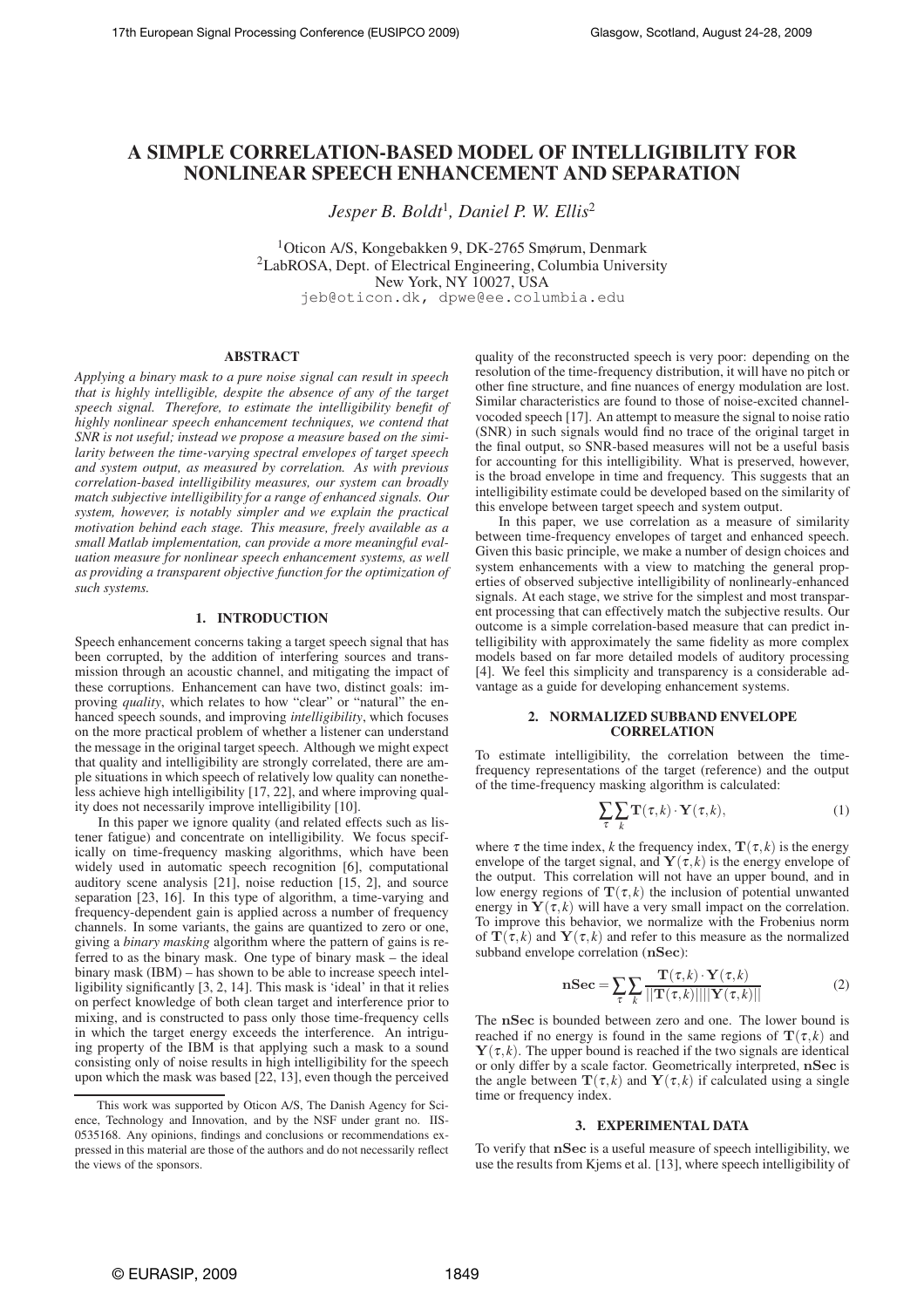# **A SIMPLE CORRELATION-BASED MODEL OF INTELLIGIBILITY FOR NONLINEAR SPEECH ENHANCEMENT AND SEPARATION**

*Jesper B. Boldt*<sup>1</sup> *, Daniel P. W. Ellis*<sup>2</sup>

<sup>1</sup>Oticon A/S, Kongebakken 9, DK-2765 Smørum, Denmark <sup>2</sup>LabROSA, Dept. of Electrical Engineering, Columbia University New York, NY 10027, USA jeb@oticon.dk, dpwe@ee.columbia.edu

#### **ABSTRACT**

*Applying a binary mask to a pure noise signal can result in speech that is highly intelligible, despite the absence of any of the target speech signal. Therefore, to estimate the intelligibility benefit of highly nonlinear speech enhancement techniques, we contend that SNR is not useful; instead we propose a measure based on the similarity between the time-varying spectral envelopes of target speech and system output, as measured by correlation. As with previous correlation-based intelligibility measures, our system can broadly match subjective intelligibility for a range of enhanced signals. Our system, however, is notably simpler and we explain the practical motivation behind each stage. This measure, freely available as a small Matlab implementation, can provide a more meaningful evaluation measure for nonlinear speech enhancement systems, as well as providing a transparent objective function for the optimization of such systems.*

## **1. INTRODUCTION**

Speech enhancement concerns taking a target speech signal that has been corrupted, by the addition of interfering sources and transmission through an acoustic channel, and mitigating the impact of these corruptions. Enhancement can have two, distinct goals: improving *quality*, which relates to how "clear" or "natural" the enhanced speech sounds, and improving *intelligibility*, which focuses on the more practical problem of whether a listener can understand the message in the original target speech. Although we might expect that quality and intelligibility are strongly correlated, there are ample situations in which speech of relatively low quality can nonetheless achieve high intelligibility [17, 22], and where improving quality does not necessarily improve intelligibility [10].

In this paper we ignore quality (and related effects such as listener fatigue) and concentrate on intelligibility. We focus specifically on time-frequency masking algorithms, which have been widely used in automatic speech recognition [6], computational auditory scene analysis [21], noise reduction [15, 2], and source separation [23, 16]. In this type of algorithm, a time-varying and frequency-dependent gain is applied across a number of frequency channels. In some variants, the gains are quantized to zero or one, giving a *binary masking* algorithm where the pattern of gains is referred to as the binary mask. One type of binary mask – the ideal binary mask (IBM) – has shown to be able to increase speech intelligibility significantly [3, 2, 14]. This mask is 'ideal' in that it relies on perfect knowledge of both clean target and interference prior to mixing, and is constructed to pass only those time-frequency cells in which the target energy exceeds the interference. An intriguing property of the IBM is that applying such a mask to a sound consisting only of noise results in high intelligibility for the speech upon which the mask was based [22, 13], even though the perceived quality of the reconstructed speech is very poor: depending on the resolution of the time-frequency distribution, it will have no pitch or other fine structure, and fine nuances of energy modulation are lost. Similar characteristics are found to those of noise-excited channelvocoded speech [17]. An attempt to measure the signal to noise ratio (SNR) in such signals would find no trace of the original target in the final output, so SNR-based measures will not be a useful basis for accounting for this intelligibility. What is preserved, however, is the broad envelope in time and frequency. This suggests that an intelligibility estimate could be developed based on the similarity of this envelope between target speech and system output.

In this paper, we use correlation as a measure of similarity between time-frequency envelopes of target and enhanced speech. Given this basic principle, we make a number of design choices and system enhancements with a view to matching the general properties of observed subjective intelligibility of nonlinearly-enhanced signals. At each stage, we strive for the simplest and most transparent processing that can effectively match the subjective results. Our outcome is a simple correlation-based measure that can predict intelligibility with approximately the same fidelity as more complex models based on far more detailed models of auditory processing [4]. We feel this simplicity and transparency is a considerable advantage as a guide for developing enhancement systems.

#### **2. NORMALIZED SUBBAND ENVELOPE CORRELATION**

To estimate intelligibility, the correlation between the timefrequency representations of the target (reference) and the output of the time-frequency masking algorithm is calculated:

$$
\sum_{\tau} \sum_{k} \mathbf{T}(\tau, k) \cdot \mathbf{Y}(\tau, k), \tag{1}
$$

where  $\tau$  the time index, *k* the frequency index,  $\mathbf{T}(\tau, k)$  is the energy envelope of the target signal, and  $\mathbf{Y}(\tau,k)$  is the energy envelope of the output. This correlation will not have an upper bound, and in low energy regions of  $\mathbf{T}(\tau,k)$  the inclusion of potential unwanted energy in  $\mathbf{Y}(\tau,k)$  will have a very small impact on the correlation. To improve this behavior, we normalize with the Frobenius norm of  $\mathbf{T}(\tau,k)$  and  $\mathbf{Y}(\tau,k)$  and refer to this measure as the normalized subband envelope correlation (nSec):

$$
\mathbf{nSec} = \sum_{\tau} \sum_{k} \frac{\mathbf{T}(\tau, k) \cdot \mathbf{Y}(\tau, k)}{||\mathbf{T}(\tau, k)|| ||\mathbf{Y}(\tau, k)||}
$$
(2)

The nSec is bounded between zero and one. The lower bound is reached if no energy is found in the same regions of  $\mathbf{T}(\tau,k)$  and  $Y(\tau, k)$ . The upper bound is reached if the two signals are identical or only differ by a scale factor. Geometrically interpreted, nSec is the angle between  $\mathbf{T}(\tau,k)$  and  $\mathbf{Y}(\tau,k)$  if calculated using a single time or frequency index.

#### **3. EXPERIMENTAL DATA**

To verify that nSec is a useful measure of speech intelligibility, we use the results from Kjems et al. [13], where speech intelligibility of

This work was supported by Oticon A/S, The Danish Agency for Science, Technology and Innovation, and by the NSF under grant no. IIS-0535168. Any opinions, findings and conclusions or recommendations expressed in this material are those of the authors and do not necessarily reflect the views of the sponsors.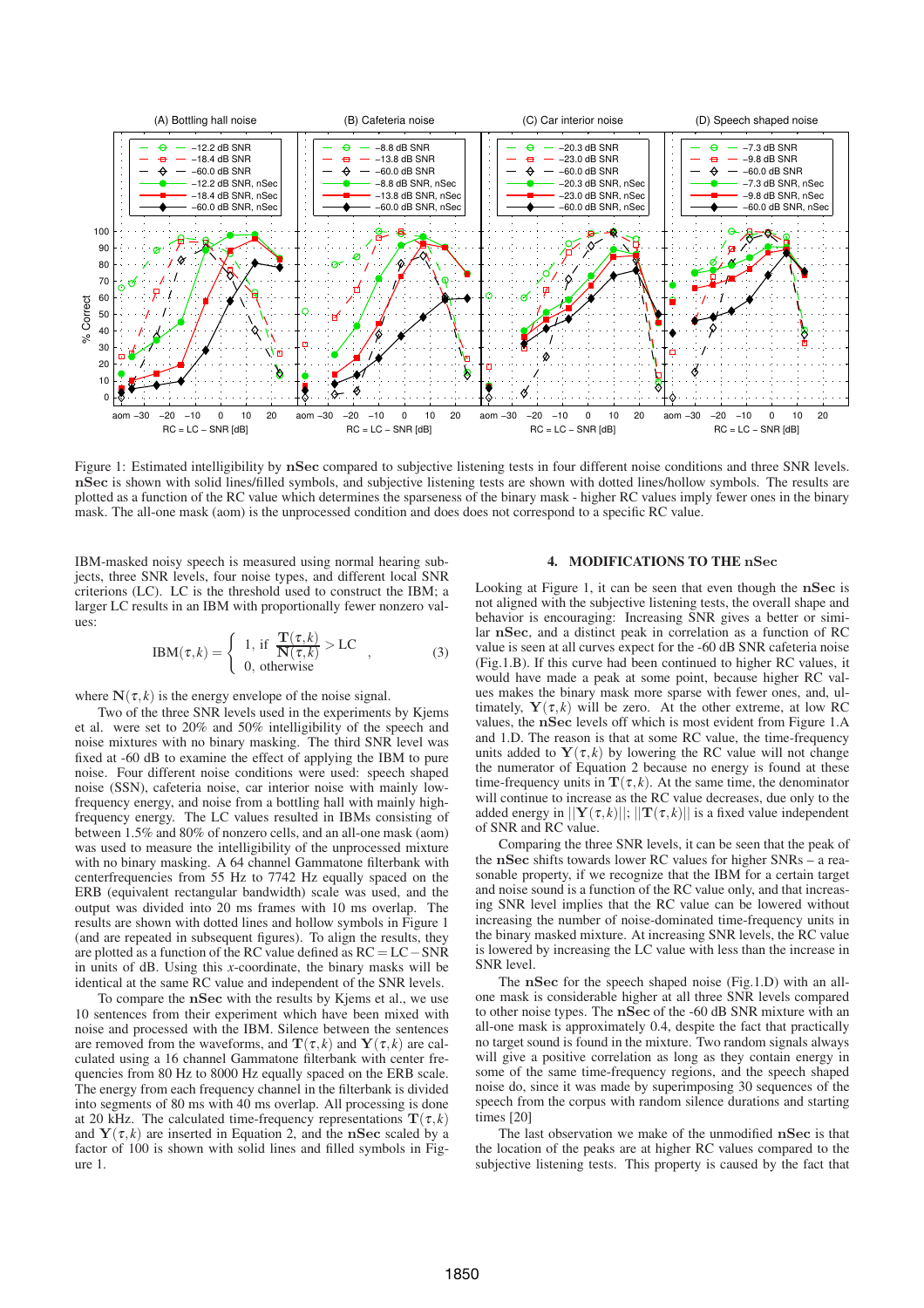

Figure 1: Estimated intelligibility by nSec compared to subjective listening tests in four different noise conditions and three SNR levels. nSec is shown with solid lines/filled symbols, and subjective listening tests are shown with dotted lines/hollow symbols. The results are plotted as a function of the RC value which determines the sparseness of the binary mask - higher RC values imply fewer ones in the binary mask. The all-one mask (aom) is the unprocessed condition and does does not correspond to a specific RC value.

IBM-masked noisy speech is measured using normal hearing subjects, three SNR levels, four noise types, and different local SNR criterions (LC). LC is the threshold used to construct the IBM; a larger LC results in an IBM with proportionally fewer nonzero values:

$$
IBM(\tau,k) = \begin{cases} 1, & \text{if } \frac{\mathbf{T}(\tau,k)}{\mathbf{N}(\tau,k)} > \text{LC} \\ 0, & \text{otherwise} \end{cases}
$$
 (3)

where  $N(\tau, k)$  is the energy envelope of the noise signal.

Two of the three SNR levels used in the experiments by Kjems et al. were set to 20% and 50% intelligibility of the speech and noise mixtures with no binary masking. The third SNR level was fixed at -60 dB to examine the effect of applying the IBM to pure noise. Four different noise conditions were used: speech shaped noise (SSN), cafeteria noise, car interior noise with mainly lowfrequency energy, and noise from a bottling hall with mainly highfrequency energy. The LC values resulted in IBMs consisting of between 1.5% and 80% of nonzero cells, and an all-one mask (aom) was used to measure the intelligibility of the unprocessed mixture with no binary masking. A 64 channel Gammatone filterbank with centerfrequencies from 55 Hz to 7742 Hz equally spaced on the ERB (equivalent rectangular bandwidth) scale was used, and the output was divided into 20 ms frames with 10 ms overlap. The results are shown with dotted lines and hollow symbols in Figure 1 (and are repeated in subsequent figures). To align the results, they are plotted as a function of the RC value defined as RC = LC−SNR in units of dB. Using this *x*-coordinate, the binary masks will be identical at the same RC value and independent of the SNR levels.

To compare the nSec with the results by Kjems et al., we use 10 sentences from their experiment which have been mixed with noise and processed with the IBM. Silence between the sentences are removed from the waveforms, and  $\mathbf{T}(\tau,k)$  and  $\mathbf{Y}(\tau,k)$  are calculated using a 16 channel Gammatone filterbank with center frequencies from 80 Hz to 8000 Hz equally spaced on the ERB scale. The energy from each frequency channel in the filterbank is divided into segments of 80 ms with 40 ms overlap. All processing is done at 20 kHz. The calculated time-frequency representations  $\mathbf{T}(\tau,k)$ and  $\mathbf{Y}(\tau,k)$  are inserted in Equation 2, and the nSec scaled by a factor of 100 is shown with solid lines and filled symbols in Figure 1.

#### **4. MODIFICATIONS TO THE** nSec

Looking at Figure 1, it can be seen that even though the nSec is not aligned with the subjective listening tests, the overall shape and behavior is encouraging: Increasing SNR gives a better or similar nSec, and a distinct peak in correlation as a function of RC value is seen at all curves expect for the -60 dB SNR cafeteria noise (Fig.1.B). If this curve had been continued to higher RC values, it would have made a peak at some point, because higher RC values makes the binary mask more sparse with fewer ones, and, ultimately,  $\mathbf{Y}(\tau,k)$  will be zero. At the other extreme, at low RC values, the nSec levels off which is most evident from Figure 1.A and 1.D. The reason is that at some RC value, the time-frequency units added to  $Y(\tau,k)$  by lowering the RC value will not change the numerator of Equation 2 because no energy is found at these time-frequency units in  $\mathbf{T}(\tau,k)$ . At the same time, the denominator will continue to increase as the RC value decreases, due only to the added energy in  $||\mathbf{Y}(\tau,k)||$ ;  $||\mathbf{T}(\tau,k)||$  is a fixed value independent of SNR and RC value.

Comparing the three SNR levels, it can be seen that the peak of the nSec shifts towards lower RC values for higher SNRs – a reasonable property, if we recognize that the IBM for a certain target and noise sound is a function of the RC value only, and that increasing SNR level implies that the RC value can be lowered without increasing the number of noise-dominated time-frequency units in the binary masked mixture. At increasing SNR levels, the RC value is lowered by increasing the LC value with less than the increase in SNR level.

The nSec for the speech shaped noise (Fig.1.D) with an allone mask is considerable higher at all three SNR levels compared to other noise types. The nSec of the -60 dB SNR mixture with an all-one mask is approximately 0.4, despite the fact that practically no target sound is found in the mixture. Two random signals always will give a positive correlation as long as they contain energy in some of the same time-frequency regions, and the speech shaped noise do, since it was made by superimposing 30 sequences of the speech from the corpus with random silence durations and starting times [20]

The last observation we make of the unmodified nSec is that the location of the peaks are at higher RC values compared to the subjective listening tests. This property is caused by the fact that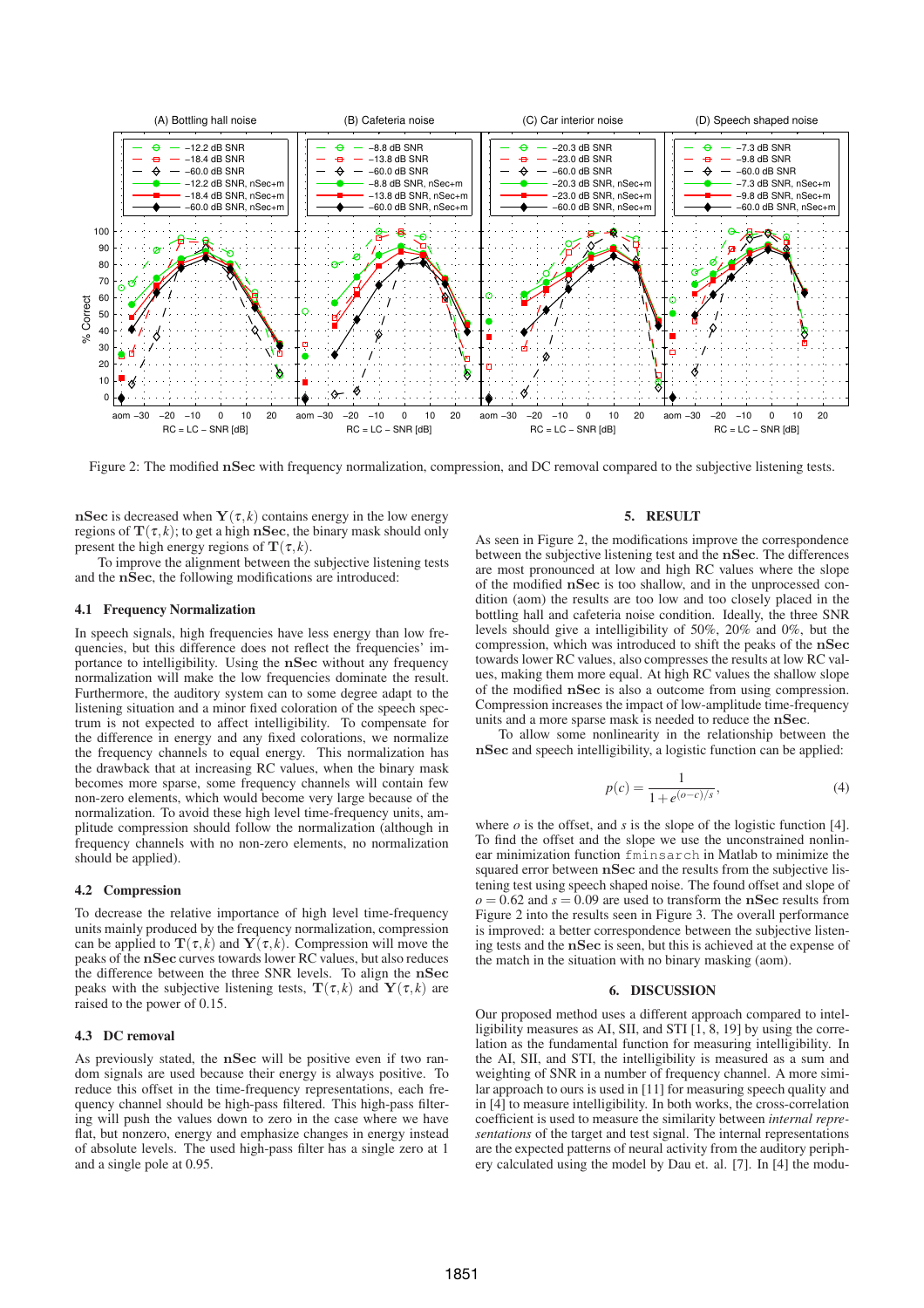

Figure 2: The modified nSec with frequency normalization, compression, and DC removal compared to the subjective listening tests.

nSec is decreased when  $Y(\tau, k)$  contains energy in the low energy regions of  $\mathbf{T}(\tau,k)$ ; to get a high nSec, the binary mask should only present the high energy regions of  $\mathbf{T}(\tau,k)$ .

To improve the alignment between the subjective listening tests and the nSec, the following modifications are introduced:

### **4.1 Frequency Normalization**

In speech signals, high frequencies have less energy than low frequencies, but this difference does not reflect the frequencies' importance to intelligibility. Using the nSec without any frequency normalization will make the low frequencies dominate the result. Furthermore, the auditory system can to some degree adapt to the listening situation and a minor fixed coloration of the speech spectrum is not expected to affect intelligibility. To compensate for the difference in energy and any fixed colorations, we normalize the frequency channels to equal energy. This normalization has the drawback that at increasing RC values, when the binary mask becomes more sparse, some frequency channels will contain few non-zero elements, which would become very large because of the normalization. To avoid these high level time-frequency units, amplitude compression should follow the normalization (although in frequency channels with no non-zero elements, no normalization should be applied).

#### **4.2 Compression**

To decrease the relative importance of high level time-frequency units mainly produced by the frequency normalization, compression can be applied to  $\mathbf{T}(\tau,k)$  and  $\mathbf{Y}(\tau,k)$ . Compression will move the peaks of the nSec curves towards lower RC values, but also reduces the difference between the three SNR levels. To align the nSec peaks with the subjective listening tests,  $\mathbf{T}(\tau,k)$  and  $\mathbf{Y}(\tau,k)$  are raised to the power of 0.15.

### **4.3 DC removal**

As previously stated, the nSec will be positive even if two random signals are used because their energy is always positive. To reduce this offset in the time-frequency representations, each frequency channel should be high-pass filtered. This high-pass filtering will push the values down to zero in the case where we have flat, but nonzero, energy and emphasize changes in energy instead of absolute levels. The used high-pass filter has a single zero at 1 and a single pole at 0.95.

## **5. RESULT**

As seen in Figure 2, the modifications improve the correspondence between the subjective listening test and the nSec. The differences are most pronounced at low and high RC values where the slope of the modified nSec is too shallow, and in the unprocessed condition (aom) the results are too low and too closely placed in the bottling hall and cafeteria noise condition. Ideally, the three SNR levels should give a intelligibility of 50%, 20% and 0%, but the compression, which was introduced to shift the peaks of the nSec towards lower RC values, also compresses the results at low RC values, making them more equal. At high RC values the shallow slope of the modified nSec is also a outcome from using compression. Compression increases the impact of low-amplitude time-frequency units and a more sparse mask is needed to reduce the nSec.

To allow some nonlinearity in the relationship between the nSec and speech intelligibility, a logistic function can be applied:

$$
p(c) = \frac{1}{1 + e^{(o-c)/s}},
$$
\n(4)

where  $o$  is the offset, and  $s$  is the slope of the logistic function [4]. To find the offset and the slope we use the unconstrained nonlinear minimization function fminsarch in Matlab to minimize the squared error between  $n\text{Sec}$  and the results from the subjective listening test using speech shaped noise. The found offset and slope of  $o = 0.62$  and  $s = 0.09$  are used to transform the nSec results from Figure 2 into the results seen in Figure 3. The overall performance is improved: a better correspondence between the subjective listening tests and the nSec is seen, but this is achieved at the expense of the match in the situation with no binary masking (aom).

# **6. DISCUSSION**

Our proposed method uses a different approach compared to intelligibility measures as AI, SII, and STI  $[1, 8, 19]$  by using the correlation as the fundamental function for measuring intelligibility. In the AI, SII, and STI, the intelligibility is measured as a sum and weighting of SNR in a number of frequency channel. A more similar approach to ours is used in [11] for measuring speech quality and in [4] to measure intelligibility. In both works, the cross-correlation coefficient is used to measure the similarity between *internal representations* of the target and test signal. The internal representations are the expected patterns of neural activity from the auditory periphery calculated using the model by Dau et. al. [7]. In [4] the modu-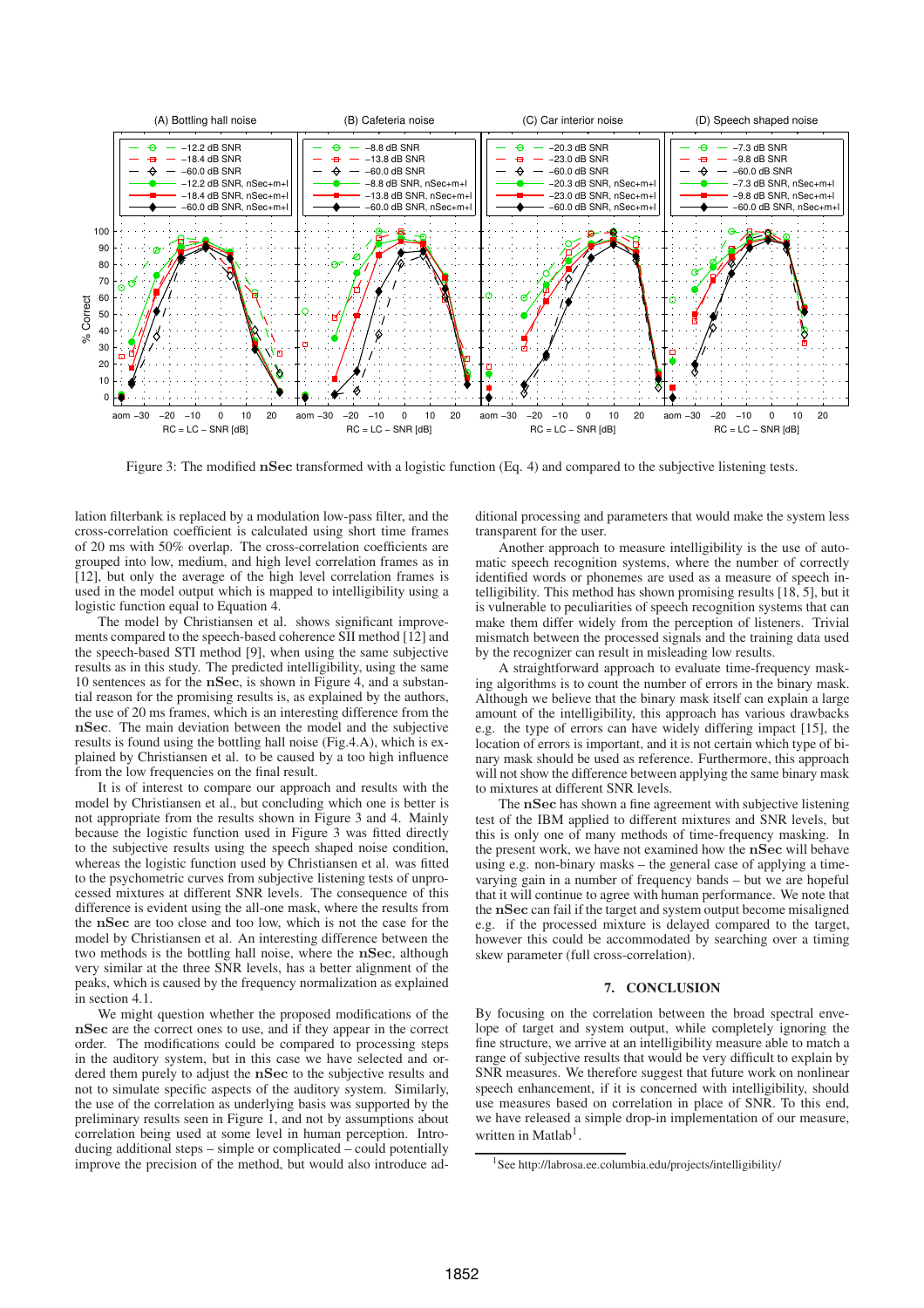

Figure 3: The modified nSec transformed with a logistic function (Eq. 4) and compared to the subjective listening tests.

lation filterbank is replaced by a modulation low-pass filter, and the cross-correlation coefficient is calculated using short time frames of 20 ms with 50% overlap. The cross-correlation coefficients are grouped into low, medium, and high level correlation frames as in [12], but only the average of the high level correlation frames is used in the model output which is mapped to intelligibility using a logistic function equal to Equation 4.

The model by Christiansen et al. shows significant improvements compared to the speech-based coherence SII method [12] and the speech-based STI method [9], when using the same subjective results as in this study. The predicted intelligibility, using the same 10 sentences as for the nSec, is shown in Figure 4, and a substantial reason for the promising results is, as explained by the authors, the use of 20 ms frames, which is an interesting difference from the nSec. The main deviation between the model and the subjective results is found using the bottling hall noise (Fig.4.A), which is explained by Christiansen et al. to be caused by a too high influence from the low frequencies on the final result.

It is of interest to compare our approach and results with the model by Christiansen et al., but concluding which one is better is not appropriate from the results shown in Figure 3 and 4. Mainly because the logistic function used in Figure 3 was fitted directly to the subjective results using the speech shaped noise condition, whereas the logistic function used by Christiansen et al. was fitted to the psychometric curves from subjective listening tests of unprocessed mixtures at different SNR levels. The consequence of this difference is evident using the all-one mask, where the results from the nSec are too close and too low, which is not the case for the model by Christiansen et al. An interesting difference between the two methods is the bottling hall noise, where the nSec, although very similar at the three SNR levels, has a better alignment of the peaks, which is caused by the frequency normalization as explained in section 4.1.

We might question whether the proposed modifications of the nSec are the correct ones to use, and if they appear in the correct order. The modifications could be compared to processing steps in the auditory system, but in this case we have selected and ordered them purely to adjust the nSec to the subjective results and not to simulate specific aspects of the auditory system. Similarly, the use of the correlation as underlying basis was supported by the preliminary results seen in Figure 1, and not by assumptions about correlation being used at some level in human perception. Introducing additional steps – simple or complicated – could potentially improve the precision of the method, but would also introduce additional processing and parameters that would make the system less transparent for the user.

Another approach to measure intelligibility is the use of automatic speech recognition systems, where the number of correctly identified words or phonemes are used as a measure of speech intelligibility. This method has shown promising results [18, 5], but it is vulnerable to peculiarities of speech recognition systems that can make them differ widely from the perception of listeners. Trivial mismatch between the processed signals and the training data used by the recognizer can result in misleading low results.

A straightforward approach to evaluate time-frequency masking algorithms is to count the number of errors in the binary mask. Although we believe that the binary mask itself can explain a large amount of the intelligibility, this approach has various drawbacks e.g. the type of errors can have widely differing impact [15], the location of errors is important, and it is not certain which type of binary mask should be used as reference. Furthermore, this approach will not show the difference between applying the same binary mask to mixtures at different SNR levels.

The nSec has shown a fine agreement with subjective listening test of the IBM applied to different mixtures and SNR levels, but this is only one of many methods of time-frequency masking. In the present work, we have not examined how the nSec will behave using e.g. non-binary masks – the general case of applying a timevarying gain in a number of frequency bands – but we are hopeful that it will continue to agree with human performance. We note that the nSec can fail if the target and system output become misaligned e.g. if the processed mixture is delayed compared to the target, however this could be accommodated by searching over a timing skew parameter (full cross-correlation).

## **7. CONCLUSION**

By focusing on the correlation between the broad spectral envelope of target and system output, while completely ignoring the fine structure, we arrive at an intelligibility measure able to match a range of subjective results that would be very difficult to explain by SNR measures. We therefore suggest that future work on nonlinear speech enhancement, if it is concerned with intelligibility, should use measures based on correlation in place of SNR. To this end, we have released a simple drop-in implementation of our measure, written in Matlab<sup>1</sup>.

<sup>&</sup>lt;sup>1</sup>See http://labrosa.ee.columbia.edu/projects/intelligibility/